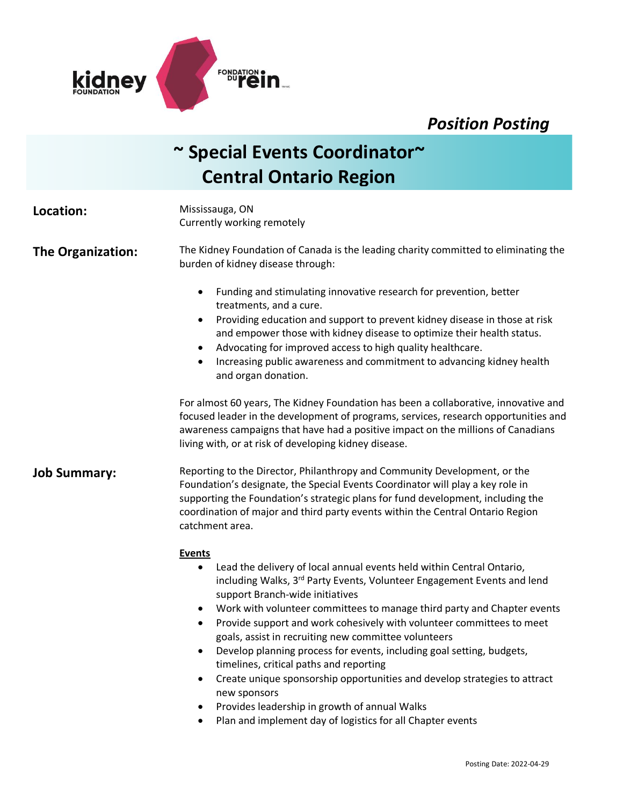

## *Position Posting*

# **~ Special Events Coordinator~ Central Ontario Region**

| Location:           | Mississauga, ON<br>Currently working remotely                                                                                                                                                                                                                                                                                                                                                                                                                                                                                                                                                        |
|---------------------|------------------------------------------------------------------------------------------------------------------------------------------------------------------------------------------------------------------------------------------------------------------------------------------------------------------------------------------------------------------------------------------------------------------------------------------------------------------------------------------------------------------------------------------------------------------------------------------------------|
| The Organization:   | The Kidney Foundation of Canada is the leading charity committed to eliminating the<br>burden of kidney disease through:                                                                                                                                                                                                                                                                                                                                                                                                                                                                             |
|                     | Funding and stimulating innovative research for prevention, better<br>$\bullet$<br>treatments, and a cure.<br>Providing education and support to prevent kidney disease in those at risk<br>$\bullet$<br>and empower those with kidney disease to optimize their health status.<br>Advocating for improved access to high quality healthcare.<br>$\bullet$<br>Increasing public awareness and commitment to advancing kidney health<br>$\bullet$<br>and organ donation.                                                                                                                              |
|                     | For almost 60 years, The Kidney Foundation has been a collaborative, innovative and<br>focused leader in the development of programs, services, research opportunities and<br>awareness campaigns that have had a positive impact on the millions of Canadians<br>living with, or at risk of developing kidney disease.                                                                                                                                                                                                                                                                              |
| <b>Job Summary:</b> | Reporting to the Director, Philanthropy and Community Development, or the<br>Foundation's designate, the Special Events Coordinator will play a key role in<br>supporting the Foundation's strategic plans for fund development, including the<br>coordination of major and third party events within the Central Ontario Region<br>catchment area.                                                                                                                                                                                                                                                  |
|                     | <b>Events</b><br>Lead the delivery of local annual events held within Central Ontario,<br>$\bullet$<br>including Walks, 3 <sup>rd</sup> Party Events, Volunteer Engagement Events and lend<br>support Branch-wide initiatives<br>Work with volunteer committees to manage third party and Chapter events<br>$\bullet$<br>Provide support and work cohesively with volunteer committees to meet<br>$\bullet$<br>goals, assist in recruiting new committee volunteers<br>Develop planning process for events, including goal setting, budgets,<br>$\bullet$<br>timelines, critical paths and reporting |

- Create unique sponsorship opportunities and develop strategies to attract new sponsors
- Provides leadership in growth of annual Walks
- Plan and implement day of logistics for all Chapter events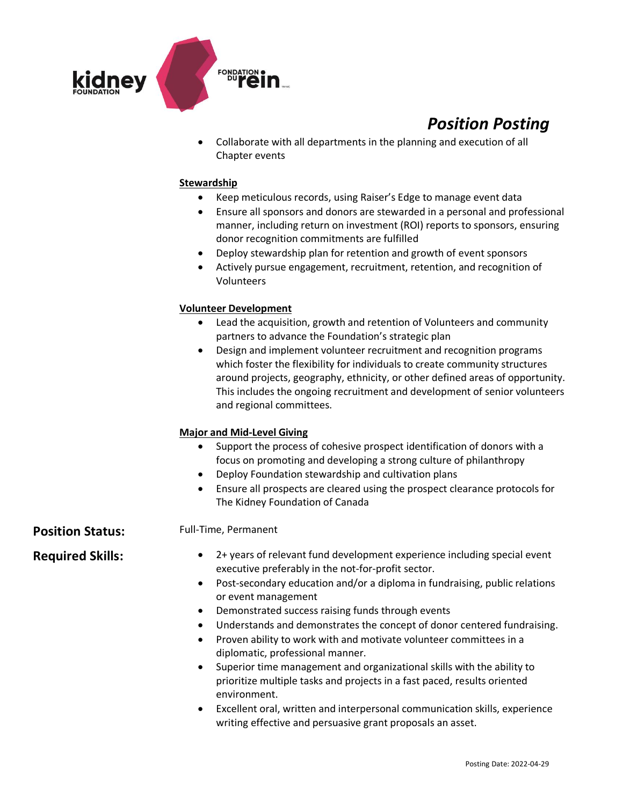

## *Position Posting*

• Collaborate with all departments in the planning and execution of all Chapter events

#### **Stewardship**

- Keep meticulous records, using Raiser's Edge to manage event data
- Ensure all sponsors and donors are stewarded in a personal and professional manner, including return on investment (ROI) reports to sponsors, ensuring donor recognition commitments are fulfilled
- Deploy stewardship plan for retention and growth of event sponsors
- Actively pursue engagement, recruitment, retention, and recognition of Volunteers

#### **Volunteer Development**

- Lead the acquisition, growth and retention of Volunteers and community partners to advance the Foundation's strategic plan
- Design and implement volunteer recruitment and recognition programs which foster the flexibility for individuals to create community structures around projects, geography, ethnicity, or other defined areas of opportunity. This includes the ongoing recruitment and development of senior volunteers and regional committees.

### **Major and Mid-Level Giving**

- Support the process of cohesive prospect identification of donors with a focus on promoting and developing a strong culture of philanthropy
- Deploy Foundation stewardship and cultivation plans
- Ensure all prospects are cleared using the prospect clearance protocols for The Kidney Foundation of Canada

**Position Status:** Full-Time, Permanent

- Required Skills: 2+ years of relevant fund development experience including special event executive preferably in the not-for-profit sector.
	- Post-secondary education and/or a diploma in fundraising, public relations or event management
	- Demonstrated success raising funds through events
	- Understands and demonstrates the concept of donor centered fundraising.
	- Proven ability to work with and motivate volunteer committees in a diplomatic, professional manner.
	- Superior time management and organizational skills with the ability to prioritize multiple tasks and projects in a fast paced, results oriented environment.
	- Excellent oral, written and interpersonal communication skills, experience writing effective and persuasive grant proposals an asset.